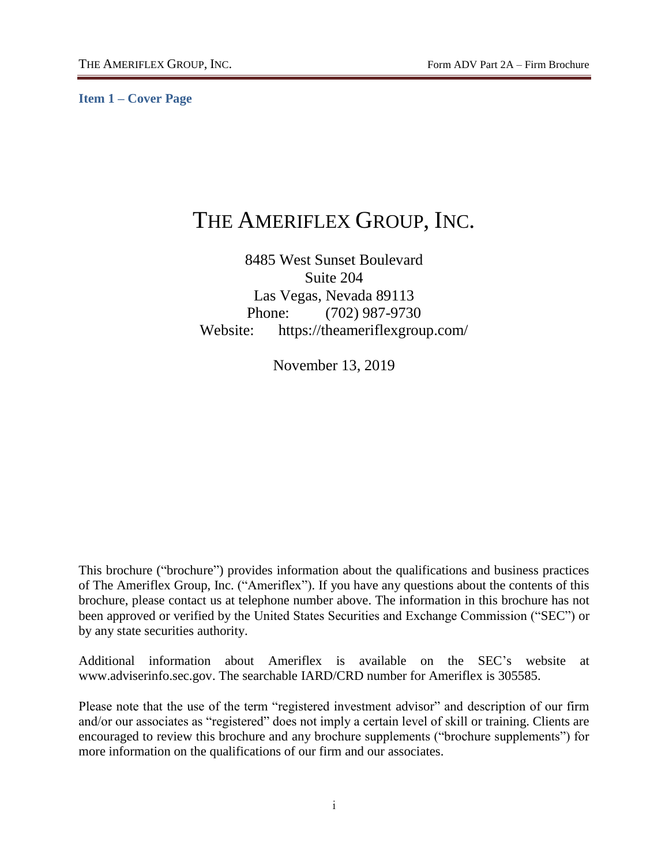<span id="page-0-0"></span>**Item 1 – Cover Page**

# THE AMERIFLEX GROUP, INC.

# 8485 West Sunset Boulevard Suite 204 Las Vegas, Nevada 89113 Phone: (702) 987-9730 Website: https://theameriflexgroup.com/

November 13, 2019

This brochure ("brochure") provides information about the qualifications and business practices of The Ameriflex Group, Inc. ("Ameriflex"). If you have any questions about the contents of this brochure, please contact us at telephone number above. The information in this brochure has not been approved or verified by the United States Securities and Exchange Commission ("SEC") or by any state securities authority.

Additional information about Ameriflex is available on the SEC's website at www.adviserinfo.sec.gov. The searchable IARD/CRD number for Ameriflex is 305585.

Please note that the use of the term "registered investment advisor" and description of our firm and/or our associates as "registered" does not imply a certain level of skill or training. Clients are encouraged to review this brochure and any brochure supplements ("brochure supplements") for more information on the qualifications of our firm and our associates.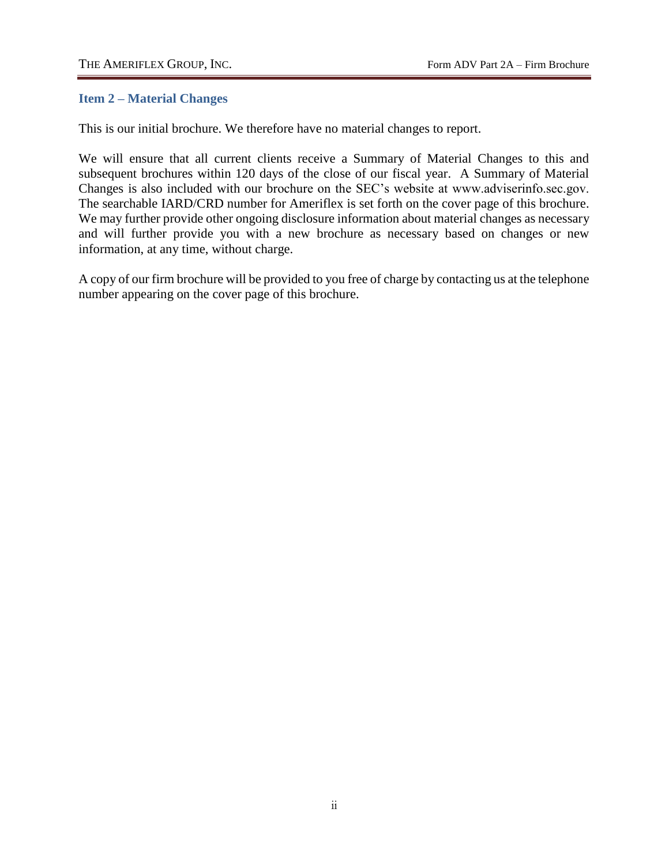#### <span id="page-1-0"></span>**Item 2 – Material Changes**

This is our initial brochure. We therefore have no material changes to report.

We will ensure that all current clients receive a Summary of Material Changes to this and subsequent brochures within 120 days of the close of our fiscal year. A Summary of Material Changes is also included with our brochure on the SEC's website at www.adviserinfo.sec.gov. The searchable IARD/CRD number for Ameriflex is set forth on the cover page of this brochure. We may further provide other ongoing disclosure information about material changes as necessary and will further provide you with a new brochure as necessary based on changes or new information, at any time, without charge.

A copy of our firm brochure will be provided to you free of charge by contacting us at the telephone number appearing on the cover page of this brochure.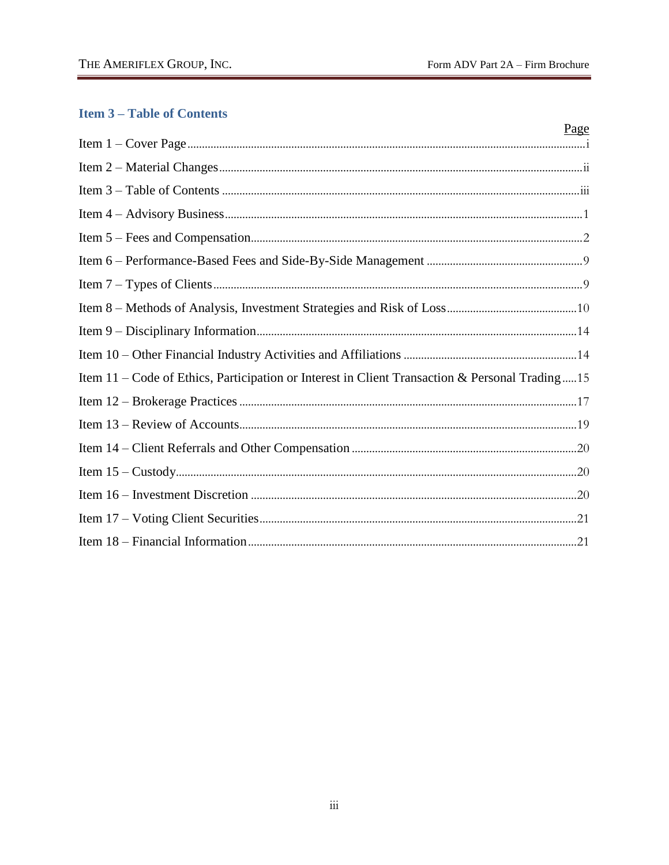# <span id="page-2-0"></span>**Item 3-Table of Contents**

|                                                                                                | Page |
|------------------------------------------------------------------------------------------------|------|
|                                                                                                |      |
|                                                                                                |      |
|                                                                                                |      |
|                                                                                                |      |
|                                                                                                |      |
|                                                                                                |      |
|                                                                                                |      |
|                                                                                                |      |
|                                                                                                |      |
|                                                                                                |      |
| Item 11 - Code of Ethics, Participation or Interest in Client Transaction & Personal Trading15 |      |
|                                                                                                |      |
|                                                                                                |      |
|                                                                                                |      |
|                                                                                                |      |
|                                                                                                |      |
|                                                                                                |      |
|                                                                                                |      |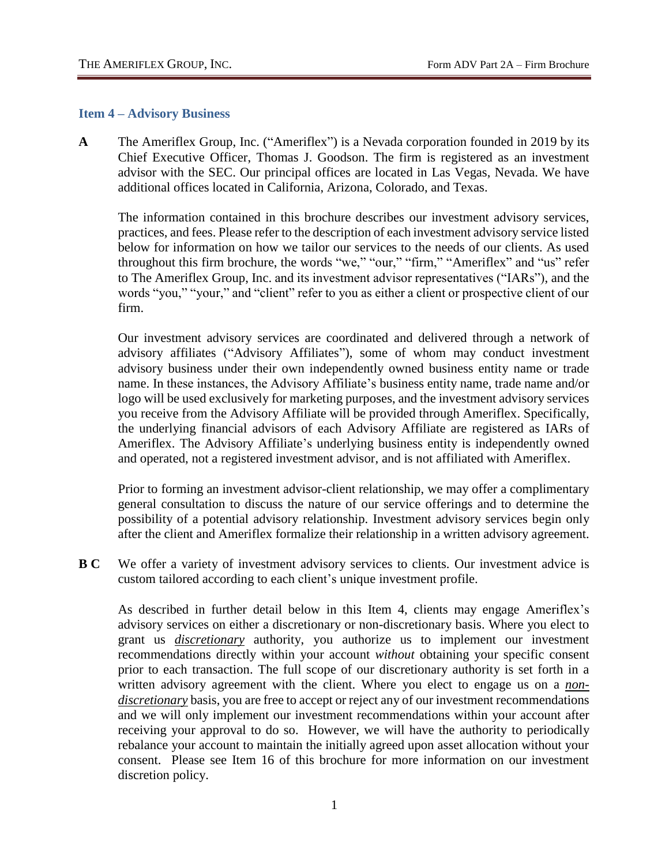#### <span id="page-3-0"></span>**Item 4 – Advisory Business**

**A** The Ameriflex Group, Inc. ("Ameriflex") is a Nevada corporation founded in 2019 by its Chief Executive Officer, Thomas J. Goodson. The firm is registered as an investment advisor with the SEC. Our principal offices are located in Las Vegas, Nevada. We have additional offices located in California, Arizona, Colorado, and Texas.

The information contained in this brochure describes our investment advisory services, practices, and fees. Please refer to the description of each investment advisory service listed below for information on how we tailor our services to the needs of our clients. As used throughout this firm brochure, the words "we," "our," "firm," "Ameriflex" and "us" refer to The Ameriflex Group, Inc. and its investment advisor representatives ("IARs"), and the words "you," "your," and "client" refer to you as either a client or prospective client of our firm.

Our investment advisory services are coordinated and delivered through a network of advisory affiliates ("Advisory Affiliates"), some of whom may conduct investment advisory business under their own independently owned business entity name or trade name. In these instances, the Advisory Affiliate's business entity name, trade name and/or logo will be used exclusively for marketing purposes, and the investment advisory services you receive from the Advisory Affiliate will be provided through Ameriflex. Specifically, the underlying financial advisors of each Advisory Affiliate are registered as IARs of Ameriflex. The Advisory Affiliate's underlying business entity is independently owned and operated, not a registered investment advisor, and is not affiliated with Ameriflex.

Prior to forming an investment advisor-client relationship, we may offer a complimentary general consultation to discuss the nature of our service offerings and to determine the possibility of a potential advisory relationship. Investment advisory services begin only after the client and Ameriflex formalize their relationship in a written advisory agreement.

**B C** We offer a variety of investment advisory services to clients. Our investment advice is custom tailored according to each client's unique investment profile.

As described in further detail below in this Item 4, clients may engage Ameriflex's advisory services on either a discretionary or non-discretionary basis. Where you elect to grant us *discretionary* authority, you authorize us to implement our investment recommendations directly within your account *without* obtaining your specific consent prior to each transaction. The full scope of our discretionary authority is set forth in a written advisory agreement with the client. Where you elect to engage us on a *nondiscretionary* basis, you are free to accept or reject any of our investment recommendations and we will only implement our investment recommendations within your account after receiving your approval to do so. However, we will have the authority to periodically rebalance your account to maintain the initially agreed upon asset allocation without your consent. Please see Item 16 of this brochure for more information on our investment discretion policy.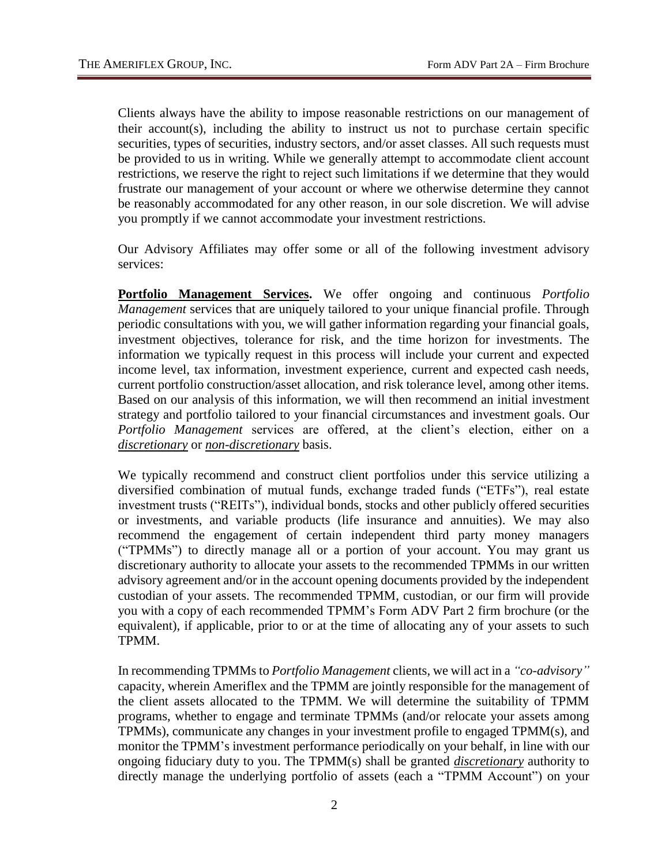Clients always have the ability to impose reasonable restrictions on our management of their account(s), including the ability to instruct us not to purchase certain specific securities, types of securities, industry sectors, and/or asset classes. All such requests must be provided to us in writing. While we generally attempt to accommodate client account restrictions, we reserve the right to reject such limitations if we determine that they would frustrate our management of your account or where we otherwise determine they cannot be reasonably accommodated for any other reason, in our sole discretion. We will advise you promptly if we cannot accommodate your investment restrictions.

Our Advisory Affiliates may offer some or all of the following investment advisory services:

**Portfolio Management Services.** We offer ongoing and continuous *Portfolio Management* services that are uniquely tailored to your unique financial profile. Through periodic consultations with you, we will gather information regarding your financial goals, investment objectives, tolerance for risk, and the time horizon for investments. The information we typically request in this process will include your current and expected income level, tax information, investment experience, current and expected cash needs, current portfolio construction/asset allocation, and risk tolerance level, among other items. Based on our analysis of this information, we will then recommend an initial investment strategy and portfolio tailored to your financial circumstances and investment goals. Our *Portfolio Management* services are offered, at the client's election, either on a *discretionary* or *non-discretionary* basis.

We typically recommend and construct client portfolios under this service utilizing a diversified combination of mutual funds, exchange traded funds ("ETFs"), real estate investment trusts ("REITs"), individual bonds, stocks and other publicly offered securities or investments, and variable products (life insurance and annuities). We may also recommend the engagement of certain independent third party money managers ("TPMMs") to directly manage all or a portion of your account. You may grant us discretionary authority to allocate your assets to the recommended TPMMs in our written advisory agreement and/or in the account opening documents provided by the independent custodian of your assets. The recommended TPMM, custodian, or our firm will provide you with a copy of each recommended TPMM's Form ADV Part 2 firm brochure (or the equivalent), if applicable, prior to or at the time of allocating any of your assets to such TPMM.

In recommending TPMMs to *Portfolio Management* clients, we will act in a *"co-advisory"* capacity, wherein Ameriflex and the TPMM are jointly responsible for the management of the client assets allocated to the TPMM. We will determine the suitability of TPMM programs, whether to engage and terminate TPMMs (and/or relocate your assets among TPMMs), communicate any changes in your investment profile to engaged TPMM(s), and monitor the TPMM's investment performance periodically on your behalf, in line with our ongoing fiduciary duty to you. The TPMM(s) shall be granted *discretionary* authority to directly manage the underlying portfolio of assets (each a "TPMM Account") on your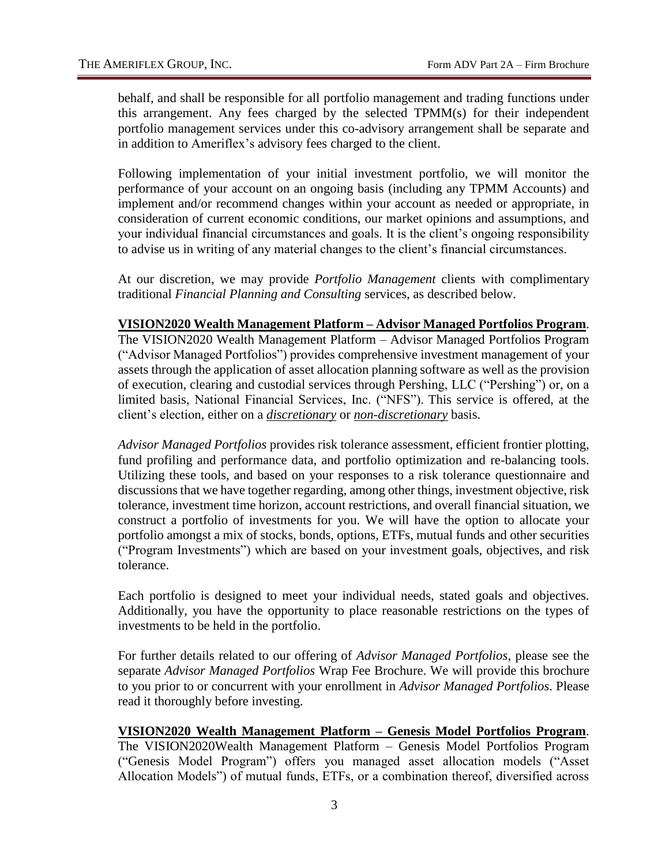behalf, and shall be responsible for all portfolio management and trading functions under this arrangement. Any fees charged by the selected TPMM(s) for their independent portfolio management services under this co-advisory arrangement shall be separate and in addition to Ameriflex's advisory fees charged to the client.

Following implementation of your initial investment portfolio, we will monitor the performance of your account on an ongoing basis (including any TPMM Accounts) and implement and/or recommend changes within your account as needed or appropriate, in consideration of current economic conditions, our market opinions and assumptions, and your individual financial circumstances and goals. It is the client's ongoing responsibility to advise us in writing of any material changes to the client's financial circumstances.

At our discretion, we may provide *Portfolio Management* clients with complimentary traditional *Financial Planning and Consulting* services, as described below.

#### **VISION2020 Wealth Management Platform – Advisor Managed Portfolios Program**.

The VISION2020 Wealth Management Platform – Advisor Managed Portfolios Program ("Advisor Managed Portfolios") provides comprehensive investment management of your assets through the application of asset allocation planning software as well as the provision of execution, clearing and custodial services through Pershing, LLC ("Pershing") or, on a limited basis, National Financial Services, Inc. ("NFS"). This service is offered, at the client's election, either on a *discretionary* or *non-discretionary* basis.

*Advisor Managed Portfolios* provides risk tolerance assessment, efficient frontier plotting, fund profiling and performance data, and portfolio optimization and re-balancing tools. Utilizing these tools, and based on your responses to a risk tolerance questionnaire and discussions that we have together regarding, among other things, investment objective, risk tolerance, investment time horizon, account restrictions, and overall financial situation, we construct a portfolio of investments for you. We will have the option to allocate your portfolio amongst a mix of stocks, bonds, options, ETFs, mutual funds and other securities ("Program Investments") which are based on your investment goals, objectives, and risk tolerance.

Each portfolio is designed to meet your individual needs, stated goals and objectives. Additionally, you have the opportunity to place reasonable restrictions on the types of investments to be held in the portfolio.

For further details related to our offering of *Advisor Managed Portfolios*, please see the separate *Advisor Managed Portfolios* Wrap Fee Brochure. We will provide this brochure to you prior to or concurrent with your enrollment in *Advisor Managed Portfolios*. Please read it thoroughly before investing.

## **VISION2020 Wealth Management Platform – Genesis Model Portfolios Program**.

The VISION2020Wealth Management Platform – Genesis Model Portfolios Program ("Genesis Model Program") offers you managed asset allocation models ("Asset Allocation Models") of mutual funds, ETFs, or a combination thereof, diversified across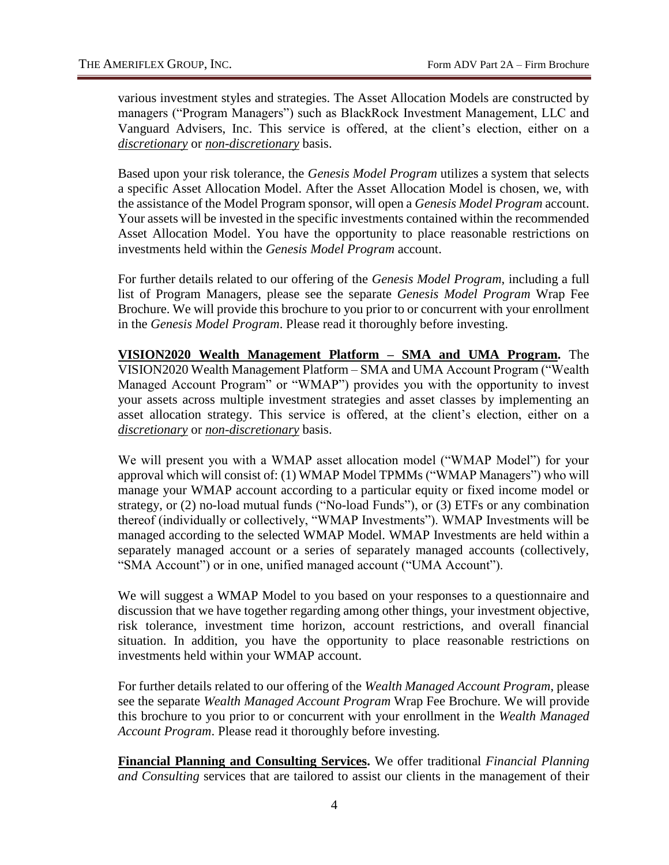various investment styles and strategies. The Asset Allocation Models are constructed by managers ("Program Managers") such as BlackRock Investment Management, LLC and Vanguard Advisers, Inc. This service is offered, at the client's election, either on a *discretionary* or *non-discretionary* basis.

Based upon your risk tolerance, the *Genesis Model Program* utilizes a system that selects a specific Asset Allocation Model. After the Asset Allocation Model is chosen, we, with the assistance of the Model Program sponsor, will open a *Genesis Model Program* account. Your assets will be invested in the specific investments contained within the recommended Asset Allocation Model. You have the opportunity to place reasonable restrictions on investments held within the *Genesis Model Program* account.

For further details related to our offering of the *Genesis Model Program*, including a full list of Program Managers, please see the separate *Genesis Model Program* Wrap Fee Brochure. We will provide this brochure to you prior to or concurrent with your enrollment in the *Genesis Model Program*. Please read it thoroughly before investing.

**VISION2020 Wealth Management Platform – SMA and UMA Program.** The VISION2020 Wealth Management Platform – SMA and UMA Account Program ("Wealth Managed Account Program" or "WMAP") provides you with the opportunity to invest your assets across multiple investment strategies and asset classes by implementing an asset allocation strategy. This service is offered, at the client's election, either on a *discretionary* or *non-discretionary* basis.

We will present you with a WMAP asset allocation model ("WMAP Model") for your approval which will consist of: (1) WMAP Model TPMMs ("WMAP Managers") who will manage your WMAP account according to a particular equity or fixed income model or strategy, or (2) no-load mutual funds ("No-load Funds"), or (3) ETFs or any combination thereof (individually or collectively, "WMAP Investments"). WMAP Investments will be managed according to the selected WMAP Model. WMAP Investments are held within a separately managed account or a series of separately managed accounts (collectively, "SMA Account") or in one, unified managed account ("UMA Account").

We will suggest a WMAP Model to you based on your responses to a questionnaire and discussion that we have together regarding among other things, your investment objective, risk tolerance, investment time horizon, account restrictions, and overall financial situation. In addition, you have the opportunity to place reasonable restrictions on investments held within your WMAP account.

For further details related to our offering of the *Wealth Managed Account Program*, please see the separate *Wealth Managed Account Program* Wrap Fee Brochure. We will provide this brochure to you prior to or concurrent with your enrollment in the *Wealth Managed Account Program*. Please read it thoroughly before investing.

**Financial Planning and Consulting Services.** We offer traditional *Financial Planning and Consulting* services that are tailored to assist our clients in the management of their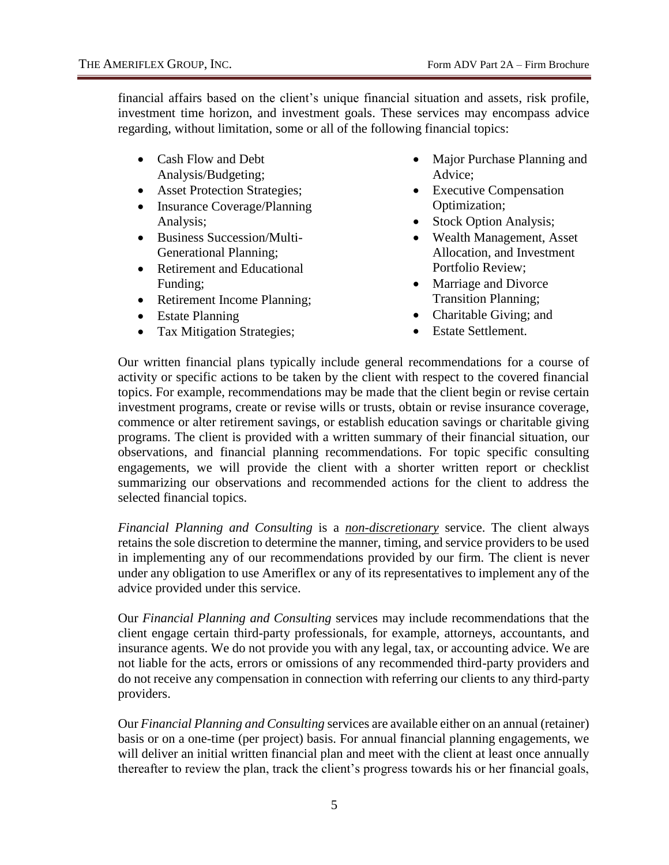financial affairs based on the client's unique financial situation and assets, risk profile, investment time horizon, and investment goals. These services may encompass advice regarding, without limitation, some or all of the following financial topics:

- Cash Flow and Debt Analysis/Budgeting;
- Asset Protection Strategies;
- Insurance Coverage/Planning Analysis;
- Business Succession/Multi-Generational Planning;
- Retirement and Educational Funding;
- Retirement Income Planning;
- Estate Planning
- Tax Mitigation Strategies;
- Major Purchase Planning and Advice;
- Executive Compensation Optimization;
- Stock Option Analysis;
- Wealth Management, Asset Allocation, and Investment Portfolio Review;
- Marriage and Divorce Transition Planning;
- Charitable Giving; and
- Estate Settlement.

Our written financial plans typically include general recommendations for a course of activity or specific actions to be taken by the client with respect to the covered financial topics. For example, recommendations may be made that the client begin or revise certain investment programs, create or revise wills or trusts, obtain or revise insurance coverage, commence or alter retirement savings, or establish education savings or charitable giving programs. The client is provided with a written summary of their financial situation, our observations, and financial planning recommendations. For topic specific consulting engagements, we will provide the client with a shorter written report or checklist summarizing our observations and recommended actions for the client to address the selected financial topics.

*Financial Planning and Consulting* is a *non-discretionary* service. The client always retains the sole discretion to determine the manner, timing, and service providers to be used in implementing any of our recommendations provided by our firm. The client is never under any obligation to use Ameriflex or any of its representatives to implement any of the advice provided under this service.

Our *Financial Planning and Consulting* services may include recommendations that the client engage certain third-party professionals, for example, attorneys, accountants, and insurance agents. We do not provide you with any legal, tax, or accounting advice. We are not liable for the acts, errors or omissions of any recommended third-party providers and do not receive any compensation in connection with referring our clients to any third-party providers.

Our *Financial Planning and Consulting* services are available either on an annual (retainer) basis or on a one-time (per project) basis. For annual financial planning engagements, we will deliver an initial written financial plan and meet with the client at least once annually thereafter to review the plan, track the client's progress towards his or her financial goals,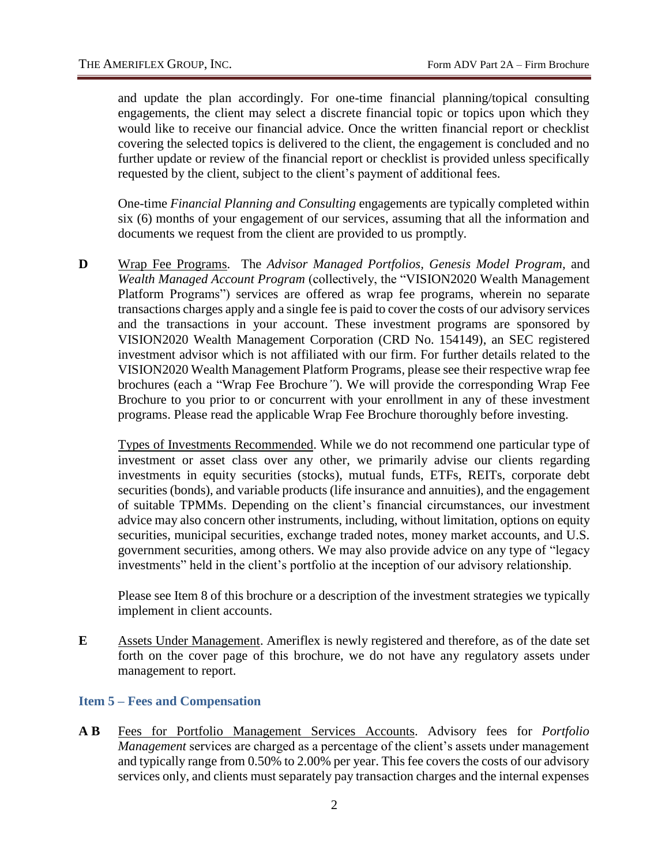and update the plan accordingly. For one-time financial planning/topical consulting engagements, the client may select a discrete financial topic or topics upon which they would like to receive our financial advice. Once the written financial report or checklist covering the selected topics is delivered to the client, the engagement is concluded and no further update or review of the financial report or checklist is provided unless specifically requested by the client, subject to the client's payment of additional fees.

One-time *Financial Planning and Consulting* engagements are typically completed within six (6) months of your engagement of our services, assuming that all the information and documents we request from the client are provided to us promptly.

**D** Wrap Fee Programs. The *Advisor Managed Portfolios, Genesis Model Program,* and *Wealth Managed Account Program* (collectively, the "VISION2020 Wealth Management Platform Programs") services are offered as wrap fee programs, wherein no separate transactions charges apply and a single fee is paid to cover the costs of our advisory services and the transactions in your account. These investment programs are sponsored by VISION2020 Wealth Management Corporation (CRD No. 154149), an SEC registered investment advisor which is not affiliated with our firm. For further details related to the VISION2020 Wealth Management Platform Programs*,* please see their respective wrap fee brochures (each a "Wrap Fee Brochure*"*). We will provide the corresponding Wrap Fee Brochure to you prior to or concurrent with your enrollment in any of these investment programs. Please read the applicable Wrap Fee Brochure thoroughly before investing.

Types of Investments Recommended. While we do not recommend one particular type of investment or asset class over any other, we primarily advise our clients regarding investments in equity securities (stocks), mutual funds, ETFs, REITs, corporate debt securities (bonds), and variable products (life insurance and annuities), and the engagement of suitable TPMMs. Depending on the client's financial circumstances, our investment advice may also concern other instruments, including, without limitation, options on equity securities, municipal securities, exchange traded notes, money market accounts, and U.S. government securities, among others. We may also provide advice on any type of "legacy investments" held in the client's portfolio at the inception of our advisory relationship.

Please see Item 8 of this brochure or a description of the investment strategies we typically implement in client accounts.

**E** Assets Under Management. Ameriflex is newly registered and therefore, as of the date set forth on the cover page of this brochure, we do not have any regulatory assets under management to report.

#### <span id="page-8-0"></span>**Item 5 – Fees and Compensation**

**A B** Fees for Portfolio Management Services Accounts. Advisory fees for *Portfolio Management* services are charged as a percentage of the client's assets under management and typically range from 0.50% to 2.00% per year. This fee covers the costs of our advisory services only, and clients must separately pay transaction charges and the internal expenses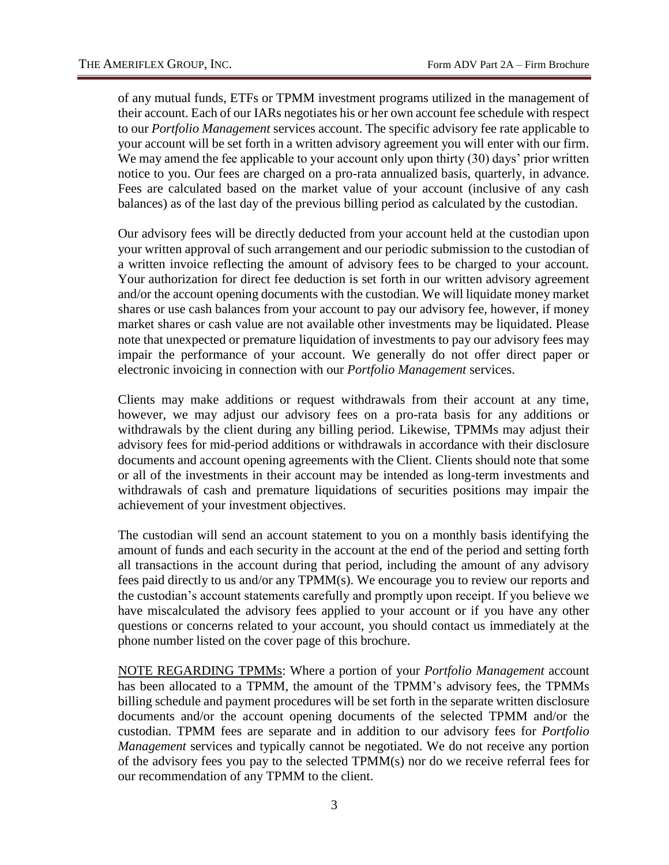of any mutual funds, ETFs or TPMM investment programs utilized in the management of their account. Each of our IARs negotiates his or her own account fee schedule with respect to our *Portfolio Management* services account. The specific advisory fee rate applicable to your account will be set forth in a written advisory agreement you will enter with our firm. We may amend the fee applicable to your account only upon thirty (30) days' prior written notice to you. Our fees are charged on a pro-rata annualized basis, quarterly, in advance. Fees are calculated based on the market value of your account (inclusive of any cash balances) as of the last day of the previous billing period as calculated by the custodian.

Our advisory fees will be directly deducted from your account held at the custodian upon your written approval of such arrangement and our periodic submission to the custodian of a written invoice reflecting the amount of advisory fees to be charged to your account. Your authorization for direct fee deduction is set forth in our written advisory agreement and/or the account opening documents with the custodian. We will liquidate money market shares or use cash balances from your account to pay our advisory fee, however, if money market shares or cash value are not available other investments may be liquidated. Please note that unexpected or premature liquidation of investments to pay our advisory fees may impair the performance of your account. We generally do not offer direct paper or electronic invoicing in connection with our *Portfolio Management* services.

Clients may make additions or request withdrawals from their account at any time, however, we may adjust our advisory fees on a pro-rata basis for any additions or withdrawals by the client during any billing period. Likewise, TPMMs may adjust their advisory fees for mid-period additions or withdrawals in accordance with their disclosure documents and account opening agreements with the Client. Clients should note that some or all of the investments in their account may be intended as long-term investments and withdrawals of cash and premature liquidations of securities positions may impair the achievement of your investment objectives.

The custodian will send an account statement to you on a monthly basis identifying the amount of funds and each security in the account at the end of the period and setting forth all transactions in the account during that period, including the amount of any advisory fees paid directly to us and/or any TPMM(s). We encourage you to review our reports and the custodian's account statements carefully and promptly upon receipt. If you believe we have miscalculated the advisory fees applied to your account or if you have any other questions or concerns related to your account, you should contact us immediately at the phone number listed on the cover page of this brochure.

NOTE REGARDING TPMMs: Where a portion of your *Portfolio Management* account has been allocated to a TPMM, the amount of the TPMM's advisory fees, the TPMMs billing schedule and payment procedures will be set forth in the separate written disclosure documents and/or the account opening documents of the selected TPMM and/or the custodian. TPMM fees are separate and in addition to our advisory fees for *Portfolio Management* services and typically cannot be negotiated. We do not receive any portion of the advisory fees you pay to the selected TPMM(s) nor do we receive referral fees for our recommendation of any TPMM to the client.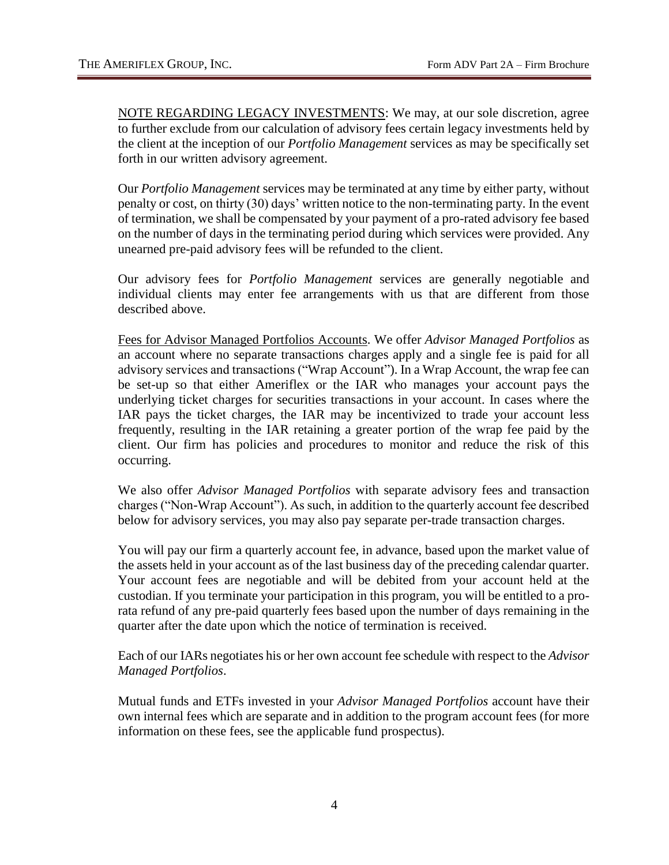NOTE REGARDING LEGACY INVESTMENTS: We may, at our sole discretion, agree to further exclude from our calculation of advisory fees certain legacy investments held by the client at the inception of our *Portfolio Management* services as may be specifically set forth in our written advisory agreement.

Our *Portfolio Management* services may be terminated at any time by either party, without penalty or cost, on thirty (30) days' written notice to the non-terminating party. In the event of termination, we shall be compensated by your payment of a pro-rated advisory fee based on the number of days in the terminating period during which services were provided. Any unearned pre-paid advisory fees will be refunded to the client.

Our advisory fees for *Portfolio Management* services are generally negotiable and individual clients may enter fee arrangements with us that are different from those described above.

Fees for Advisor Managed Portfolios Accounts. We offer *Advisor Managed Portfolios* as an account where no separate transactions charges apply and a single fee is paid for all advisory services and transactions ("Wrap Account"). In a Wrap Account, the wrap fee can be set-up so that either Ameriflex or the IAR who manages your account pays the underlying ticket charges for securities transactions in your account. In cases where the IAR pays the ticket charges, the IAR may be incentivized to trade your account less frequently, resulting in the IAR retaining a greater portion of the wrap fee paid by the client. Our firm has policies and procedures to monitor and reduce the risk of this occurring.

We also offer *Advisor Managed Portfolios* with separate advisory fees and transaction charges ("Non-Wrap Account"). As such, in addition to the quarterly account fee described below for advisory services, you may also pay separate per-trade transaction charges.

You will pay our firm a quarterly account fee, in advance, based upon the market value of the assets held in your account as of the last business day of the preceding calendar quarter. Your account fees are negotiable and will be debited from your account held at the custodian. If you terminate your participation in this program, you will be entitled to a prorata refund of any pre-paid quarterly fees based upon the number of days remaining in the quarter after the date upon which the notice of termination is received.

Each of our IARs negotiates his or her own account fee schedule with respect to the *Advisor Managed Portfolios*.

Mutual funds and ETFs invested in your *Advisor Managed Portfolios* account have their own internal fees which are separate and in addition to the program account fees (for more information on these fees, see the applicable fund prospectus).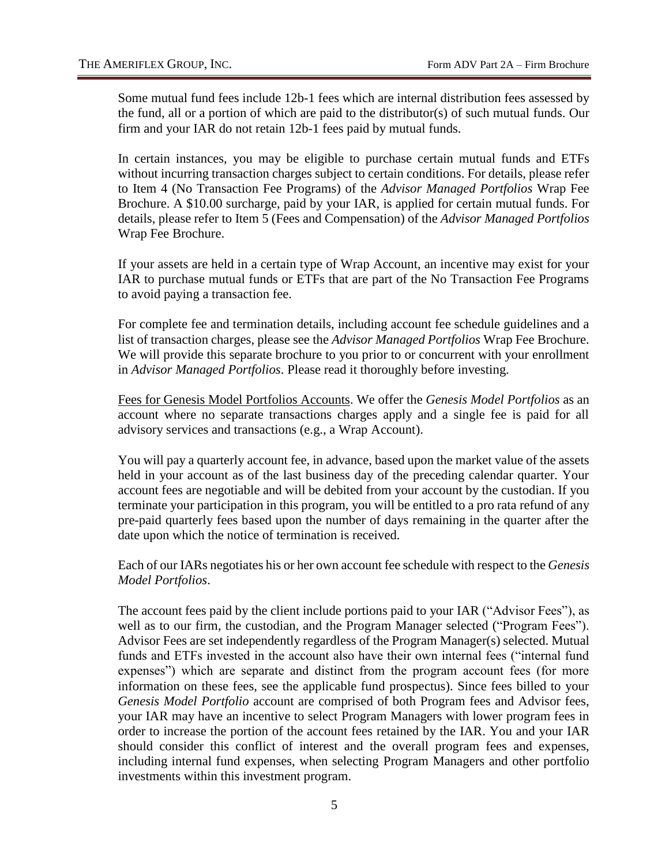Some mutual fund fees include 12b-1 fees which are internal distribution fees assessed by the fund, all or a portion of which are paid to the distributor(s) of such mutual funds. Our firm and your IAR do not retain 12b-1 fees paid by mutual funds.

In certain instances, you may be eligible to purchase certain mutual funds and ETFs without incurring transaction charges subject to certain conditions. For details, please refer to Item 4 (No Transaction Fee Programs) of the *Advisor Managed Portfolios* Wrap Fee Brochure. A \$10.00 surcharge, paid by your IAR, is applied for certain mutual funds. For details, please refer to Item 5 (Fees and Compensation) of the *Advisor Managed Portfolios* Wrap Fee Brochure.

If your assets are held in a certain type of Wrap Account, an incentive may exist for your IAR to purchase mutual funds or ETFs that are part of the No Transaction Fee Programs to avoid paying a transaction fee.

For complete fee and termination details, including account fee schedule guidelines and a list of transaction charges, please see the *Advisor Managed Portfolios* Wrap Fee Brochure. We will provide this separate brochure to you prior to or concurrent with your enrollment in *Advisor Managed Portfolios*. Please read it thoroughly before investing.

Fees for Genesis Model Portfolios Accounts. We offer the *Genesis Model Portfolios* as an account where no separate transactions charges apply and a single fee is paid for all advisory services and transactions (e.g., a Wrap Account).

You will pay a quarterly account fee, in advance, based upon the market value of the assets held in your account as of the last business day of the preceding calendar quarter. Your account fees are negotiable and will be debited from your account by the custodian. If you terminate your participation in this program, you will be entitled to a pro rata refund of any pre-paid quarterly fees based upon the number of days remaining in the quarter after the date upon which the notice of termination is received.

Each of our IARs negotiates his or her own account fee schedule with respect to the *Genesis Model Portfolios*.

The account fees paid by the client include portions paid to your IAR ("Advisor Fees"), as well as to our firm, the custodian, and the Program Manager selected ("Program Fees"). Advisor Fees are set independently regardless of the Program Manager(s) selected. Mutual funds and ETFs invested in the account also have their own internal fees ("internal fund expenses") which are separate and distinct from the program account fees (for more information on these fees, see the applicable fund prospectus). Since fees billed to your *Genesis Model Portfolio* account are comprised of both Program fees and Advisor fees, your IAR may have an incentive to select Program Managers with lower program fees in order to increase the portion of the account fees retained by the IAR. You and your IAR should consider this conflict of interest and the overall program fees and expenses, including internal fund expenses, when selecting Program Managers and other portfolio investments within this investment program.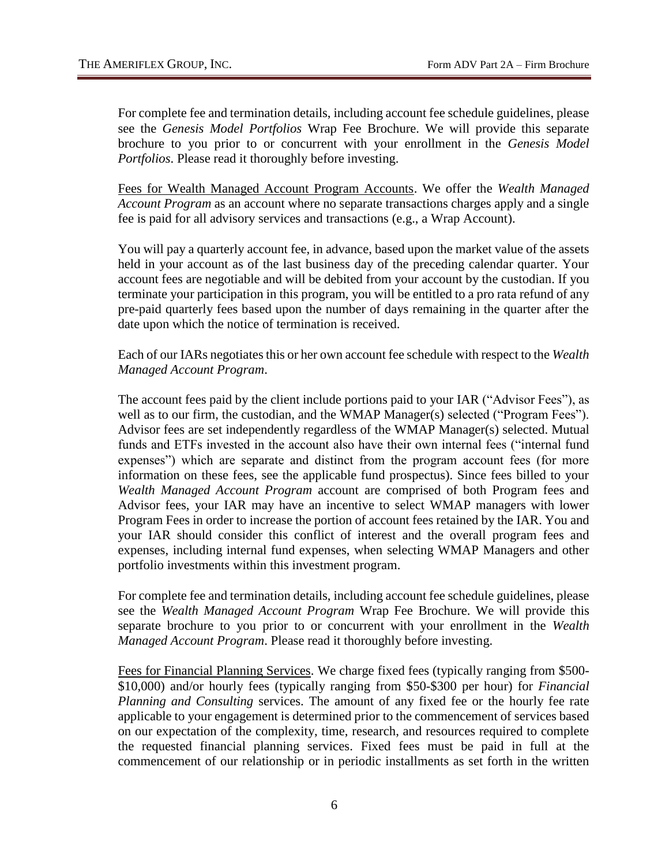For complete fee and termination details, including account fee schedule guidelines, please see the *Genesis Model Portfolios* Wrap Fee Brochure. We will provide this separate brochure to you prior to or concurrent with your enrollment in the *Genesis Model Portfolios*. Please read it thoroughly before investing.

Fees for Wealth Managed Account Program Accounts. We offer the *Wealth Managed Account Program* as an account where no separate transactions charges apply and a single fee is paid for all advisory services and transactions (e.g., a Wrap Account).

You will pay a quarterly account fee, in advance, based upon the market value of the assets held in your account as of the last business day of the preceding calendar quarter. Your account fees are negotiable and will be debited from your account by the custodian. If you terminate your participation in this program, you will be entitled to a pro rata refund of any pre-paid quarterly fees based upon the number of days remaining in the quarter after the date upon which the notice of termination is received.

Each of our IARs negotiates this or her own account fee schedule with respect to the *Wealth Managed Account Program*.

The account fees paid by the client include portions paid to your IAR ("Advisor Fees"), as well as to our firm, the custodian, and the WMAP Manager(s) selected ("Program Fees"). Advisor fees are set independently regardless of the WMAP Manager(s) selected. Mutual funds and ETFs invested in the account also have their own internal fees ("internal fund expenses") which are separate and distinct from the program account fees (for more information on these fees, see the applicable fund prospectus). Since fees billed to your *Wealth Managed Account Program* account are comprised of both Program fees and Advisor fees, your IAR may have an incentive to select WMAP managers with lower Program Fees in order to increase the portion of account fees retained by the IAR. You and your IAR should consider this conflict of interest and the overall program fees and expenses, including internal fund expenses, when selecting WMAP Managers and other portfolio investments within this investment program.

For complete fee and termination details, including account fee schedule guidelines, please see the *Wealth Managed Account Program* Wrap Fee Brochure. We will provide this separate brochure to you prior to or concurrent with your enrollment in the *Wealth Managed Account Program*. Please read it thoroughly before investing.

Fees for Financial Planning Services. We charge fixed fees (typically ranging from \$500- \$10,000) and/or hourly fees (typically ranging from \$50-\$300 per hour) for *Financial Planning and Consulting* services. The amount of any fixed fee or the hourly fee rate applicable to your engagement is determined prior to the commencement of services based on our expectation of the complexity, time, research, and resources required to complete the requested financial planning services. Fixed fees must be paid in full at the commencement of our relationship or in periodic installments as set forth in the written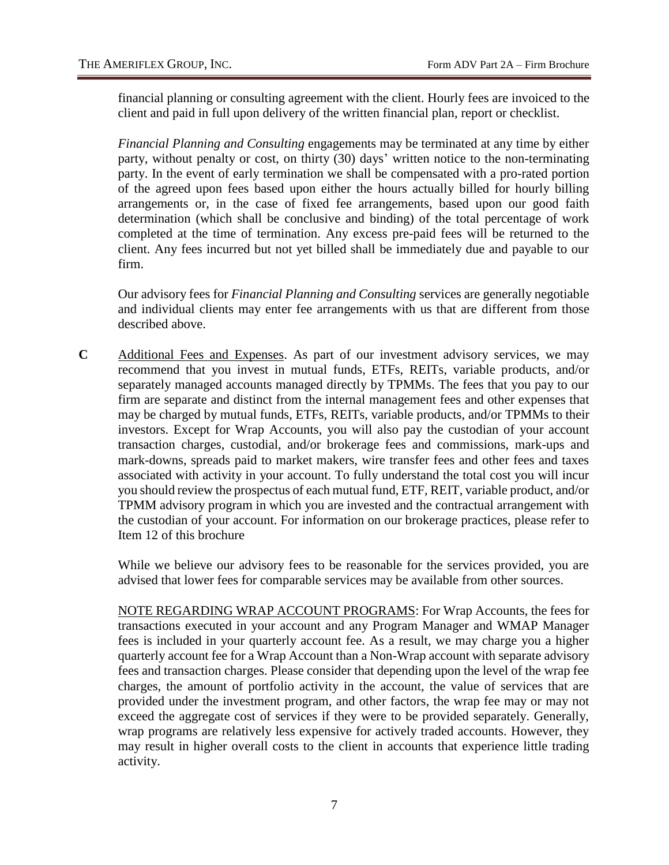financial planning or consulting agreement with the client. Hourly fees are invoiced to the client and paid in full upon delivery of the written financial plan, report or checklist.

*Financial Planning and Consulting* engagements may be terminated at any time by either party, without penalty or cost, on thirty (30) days' written notice to the non-terminating party. In the event of early termination we shall be compensated with a pro-rated portion of the agreed upon fees based upon either the hours actually billed for hourly billing arrangements or, in the case of fixed fee arrangements, based upon our good faith determination (which shall be conclusive and binding) of the total percentage of work completed at the time of termination. Any excess pre-paid fees will be returned to the client. Any fees incurred but not yet billed shall be immediately due and payable to our firm.

Our advisory fees for *Financial Planning and Consulting* services are generally negotiable and individual clients may enter fee arrangements with us that are different from those described above.

**C** Additional Fees and Expenses. As part of our investment advisory services, we may recommend that you invest in mutual funds, ETFs, REITs, variable products, and/or separately managed accounts managed directly by TPMMs. The fees that you pay to our firm are separate and distinct from the internal management fees and other expenses that may be charged by mutual funds, ETFs, REITs, variable products, and/or TPMMs to their investors. Except for Wrap Accounts, you will also pay the custodian of your account transaction charges, custodial, and/or brokerage fees and commissions, mark-ups and mark-downs, spreads paid to market makers, wire transfer fees and other fees and taxes associated with activity in your account. To fully understand the total cost you will incur you should review the prospectus of each mutual fund, ETF, REIT, variable product, and/or TPMM advisory program in which you are invested and the contractual arrangement with the custodian of your account. For information on our brokerage practices, please refer to Item 12 of this brochure

While we believe our advisory fees to be reasonable for the services provided, you are advised that lower fees for comparable services may be available from other sources.

NOTE REGARDING WRAP ACCOUNT PROGRAMS: For Wrap Accounts, the fees for transactions executed in your account and any Program Manager and WMAP Manager fees is included in your quarterly account fee. As a result, we may charge you a higher quarterly account fee for a Wrap Account than a Non-Wrap account with separate advisory fees and transaction charges. Please consider that depending upon the level of the wrap fee charges, the amount of portfolio activity in the account, the value of services that are provided under the investment program, and other factors, the wrap fee may or may not exceed the aggregate cost of services if they were to be provided separately. Generally, wrap programs are relatively less expensive for actively traded accounts. However, they may result in higher overall costs to the client in accounts that experience little trading activity.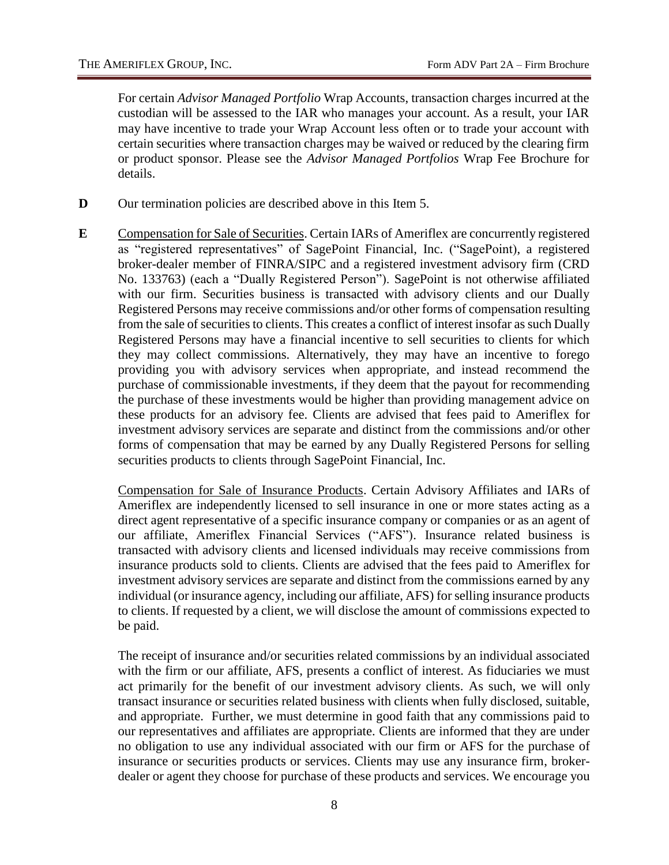For certain *Advisor Managed Portfolio* Wrap Accounts, transaction charges incurred at the custodian will be assessed to the IAR who manages your account. As a result, your IAR may have incentive to trade your Wrap Account less often or to trade your account with certain securities where transaction charges may be waived or reduced by the clearing firm or product sponsor. Please see the *Advisor Managed Portfolios* Wrap Fee Brochure for details.

- **D** Our termination policies are described above in this Item 5.
- **E** Compensation for Sale of Securities. Certain IARs of Ameriflex are concurrently registered as "registered representatives" of SagePoint Financial, Inc. ("SagePoint), a registered broker-dealer member of FINRA/SIPC and a registered investment advisory firm (CRD No. 133763) (each a "Dually Registered Person"). SagePoint is not otherwise affiliated with our firm. Securities business is transacted with advisory clients and our Dually Registered Persons may receive commissions and/or other forms of compensation resulting from the sale of securities to clients. This creates a conflict of interest insofar as such Dually Registered Persons may have a financial incentive to sell securities to clients for which they may collect commissions. Alternatively, they may have an incentive to forego providing you with advisory services when appropriate, and instead recommend the purchase of commissionable investments, if they deem that the payout for recommending the purchase of these investments would be higher than providing management advice on these products for an advisory fee. Clients are advised that fees paid to Ameriflex for investment advisory services are separate and distinct from the commissions and/or other forms of compensation that may be earned by any Dually Registered Persons for selling securities products to clients through SagePoint Financial, Inc.

Compensation for Sale of Insurance Products. Certain Advisory Affiliates and IARs of Ameriflex are independently licensed to sell insurance in one or more states acting as a direct agent representative of a specific insurance company or companies or as an agent of our affiliate, Ameriflex Financial Services ("AFS"). Insurance related business is transacted with advisory clients and licensed individuals may receive commissions from insurance products sold to clients. Clients are advised that the fees paid to Ameriflex for investment advisory services are separate and distinct from the commissions earned by any individual (or insurance agency, including our affiliate, AFS) for selling insurance products to clients. If requested by a client, we will disclose the amount of commissions expected to be paid.

The receipt of insurance and/or securities related commissions by an individual associated with the firm or our affiliate, AFS, presents a conflict of interest. As fiduciaries we must act primarily for the benefit of our investment advisory clients. As such, we will only transact insurance or securities related business with clients when fully disclosed, suitable, and appropriate. Further, we must determine in good faith that any commissions paid to our representatives and affiliates are appropriate. Clients are informed that they are under no obligation to use any individual associated with our firm or AFS for the purchase of insurance or securities products or services. Clients may use any insurance firm, brokerdealer or agent they choose for purchase of these products and services. We encourage you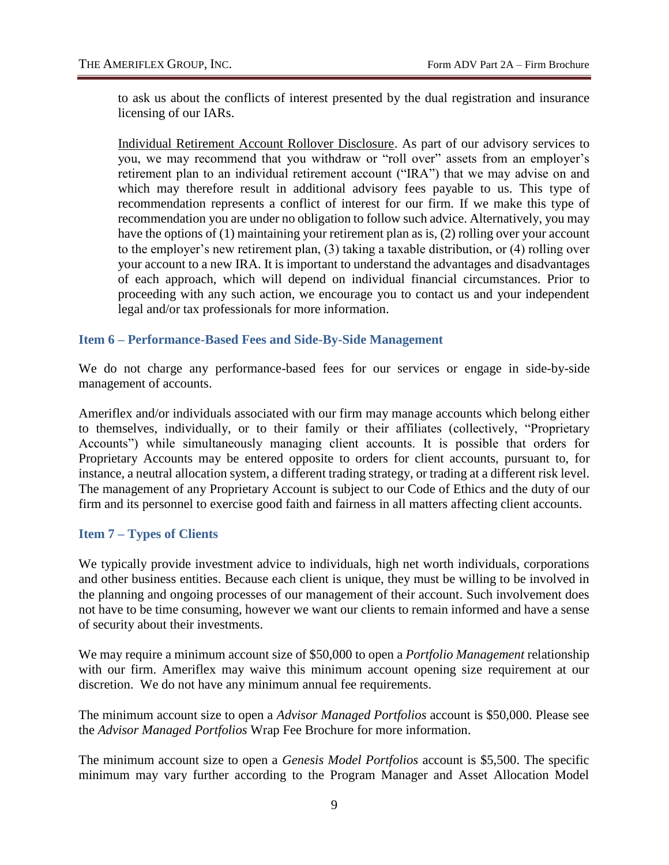to ask us about the conflicts of interest presented by the dual registration and insurance licensing of our IARs.

Individual Retirement Account Rollover Disclosure. As part of our advisory services to you, we may recommend that you withdraw or "roll over" assets from an employer's retirement plan to an individual retirement account ("IRA") that we may advise on and which may therefore result in additional advisory fees payable to us. This type of recommendation represents a conflict of interest for our firm. If we make this type of recommendation you are under no obligation to follow such advice. Alternatively, you may have the options of (1) maintaining your retirement plan as is, (2) rolling over your account to the employer's new retirement plan, (3) taking a taxable distribution, or (4) rolling over your account to a new IRA. It is important to understand the advantages and disadvantages of each approach, which will depend on individual financial circumstances. Prior to proceeding with any such action, we encourage you to contact us and your independent legal and/or tax professionals for more information.

#### <span id="page-15-0"></span>**Item 6 – Performance-Based Fees and Side-By-Side Management**

We do not charge any performance-based fees for our services or engage in side-by-side management of accounts.

Ameriflex and/or individuals associated with our firm may manage accounts which belong either to themselves, individually, or to their family or their affiliates (collectively, "Proprietary Accounts") while simultaneously managing client accounts. It is possible that orders for Proprietary Accounts may be entered opposite to orders for client accounts, pursuant to, for instance, a neutral allocation system, a different trading strategy, or trading at a different risk level. The management of any Proprietary Account is subject to our Code of Ethics and the duty of our firm and its personnel to exercise good faith and fairness in all matters affecting client accounts.

#### <span id="page-15-1"></span>**Item 7 – Types of Clients**

We typically provide investment advice to individuals, high net worth individuals, corporations and other business entities. Because each client is unique, they must be willing to be involved in the planning and ongoing processes of our management of their account. Such involvement does not have to be time consuming, however we want our clients to remain informed and have a sense of security about their investments.

We may require a minimum account size of \$50,000 to open a *Portfolio Management* relationship with our firm. Ameriflex may waive this minimum account opening size requirement at our discretion. We do not have any minimum annual fee requirements.

The minimum account size to open a *Advisor Managed Portfolios* account is \$50,000. Please see the *Advisor Managed Portfolios* Wrap Fee Brochure for more information.

The minimum account size to open a *Genesis Model Portfolios* account is \$5,500. The specific minimum may vary further according to the Program Manager and Asset Allocation Model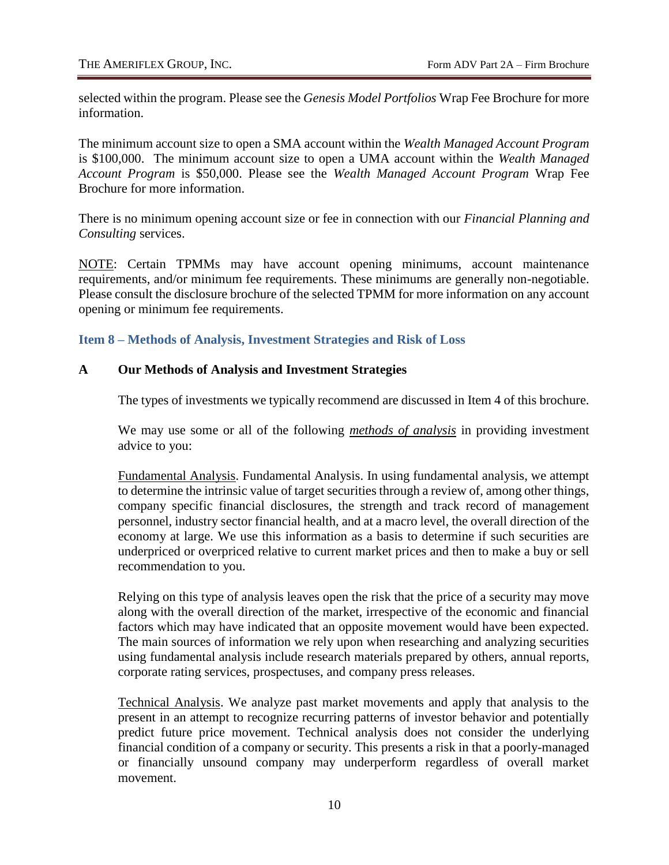selected within the program. Please see the *Genesis Model Portfolios* Wrap Fee Brochure for more information.

The minimum account size to open a SMA account within the *Wealth Managed Account Program* is \$100,000. The minimum account size to open a UMA account within the *Wealth Managed Account Program* is \$50,000. Please see the *Wealth Managed Account Program* Wrap Fee Brochure for more information.

There is no minimum opening account size or fee in connection with our *Financial Planning and Consulting* services.

NOTE: Certain TPMMs may have account opening minimums, account maintenance requirements, and/or minimum fee requirements. These minimums are generally non-negotiable. Please consult the disclosure brochure of the selected TPMM for more information on any account opening or minimum fee requirements.

<span id="page-16-0"></span>**Item 8 – Methods of Analysis, Investment Strategies and Risk of Loss**

#### **A Our Methods of Analysis and Investment Strategies**

The types of investments we typically recommend are discussed in Item 4 of this brochure.

We may use some or all of the following *methods of analysis* in providing investment advice to you:

Fundamental Analysis. Fundamental Analysis. In using fundamental analysis, we attempt to determine the intrinsic value of target securities through a review of, among other things, company specific financial disclosures, the strength and track record of management personnel, industry sector financial health, and at a macro level, the overall direction of the economy at large. We use this information as a basis to determine if such securities are underpriced or overpriced relative to current market prices and then to make a buy or sell recommendation to you.

Relying on this type of analysis leaves open the risk that the price of a security may move along with the overall direction of the market, irrespective of the economic and financial factors which may have indicated that an opposite movement would have been expected. The main sources of information we rely upon when researching and analyzing securities using fundamental analysis include research materials prepared by others, annual reports, corporate rating services, prospectuses, and company press releases.

Technical Analysis. We analyze past market movements and apply that analysis to the present in an attempt to recognize recurring patterns of investor behavior and potentially predict future price movement. Technical analysis does not consider the underlying financial condition of a company or security. This presents a risk in that a poorly-managed or financially unsound company may underperform regardless of overall market movement.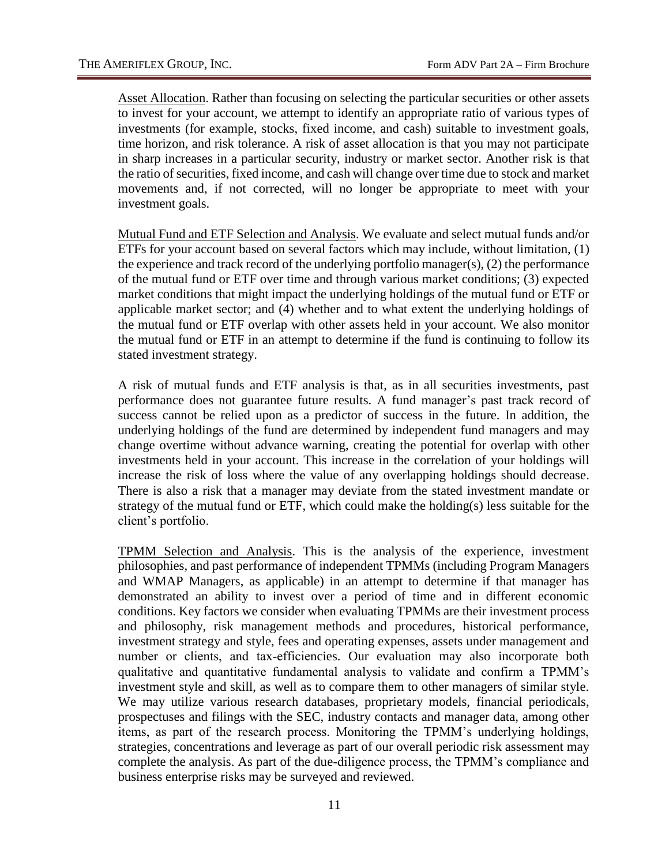Asset Allocation. Rather than focusing on selecting the particular securities or other assets to invest for your account, we attempt to identify an appropriate ratio of various types of investments (for example, stocks, fixed income, and cash) suitable to investment goals, time horizon, and risk tolerance. A risk of asset allocation is that you may not participate in sharp increases in a particular security, industry or market sector. Another risk is that the ratio of securities, fixed income, and cash will change over time due to stock and market movements and, if not corrected, will no longer be appropriate to meet with your investment goals.

Mutual Fund and ETF Selection and Analysis. We evaluate and select mutual funds and/or ETFs for your account based on several factors which may include, without limitation, (1) the experience and track record of the underlying portfolio manager(s), (2) the performance of the mutual fund or ETF over time and through various market conditions; (3) expected market conditions that might impact the underlying holdings of the mutual fund or ETF or applicable market sector; and (4) whether and to what extent the underlying holdings of the mutual fund or ETF overlap with other assets held in your account. We also monitor the mutual fund or ETF in an attempt to determine if the fund is continuing to follow its stated investment strategy.

A risk of mutual funds and ETF analysis is that, as in all securities investments, past performance does not guarantee future results. A fund manager's past track record of success cannot be relied upon as a predictor of success in the future. In addition, the underlying holdings of the fund are determined by independent fund managers and may change overtime without advance warning, creating the potential for overlap with other investments held in your account. This increase in the correlation of your holdings will increase the risk of loss where the value of any overlapping holdings should decrease. There is also a risk that a manager may deviate from the stated investment mandate or strategy of the mutual fund or ETF, which could make the holding(s) less suitable for the client's portfolio.

TPMM Selection and Analysis. This is the analysis of the experience, investment philosophies, and past performance of independent TPMMs (including Program Managers and WMAP Managers, as applicable) in an attempt to determine if that manager has demonstrated an ability to invest over a period of time and in different economic conditions. Key factors we consider when evaluating TPMMs are their investment process and philosophy, risk management methods and procedures, historical performance, investment strategy and style, fees and operating expenses, assets under management and number or clients, and tax-efficiencies. Our evaluation may also incorporate both qualitative and quantitative fundamental analysis to validate and confirm a TPMM's investment style and skill, as well as to compare them to other managers of similar style. We may utilize various research databases, proprietary models, financial periodicals, prospectuses and filings with the SEC, industry contacts and manager data, among other items, as part of the research process. Monitoring the TPMM's underlying holdings, strategies, concentrations and leverage as part of our overall periodic risk assessment may complete the analysis. As part of the due-diligence process, the TPMM's compliance and business enterprise risks may be surveyed and reviewed.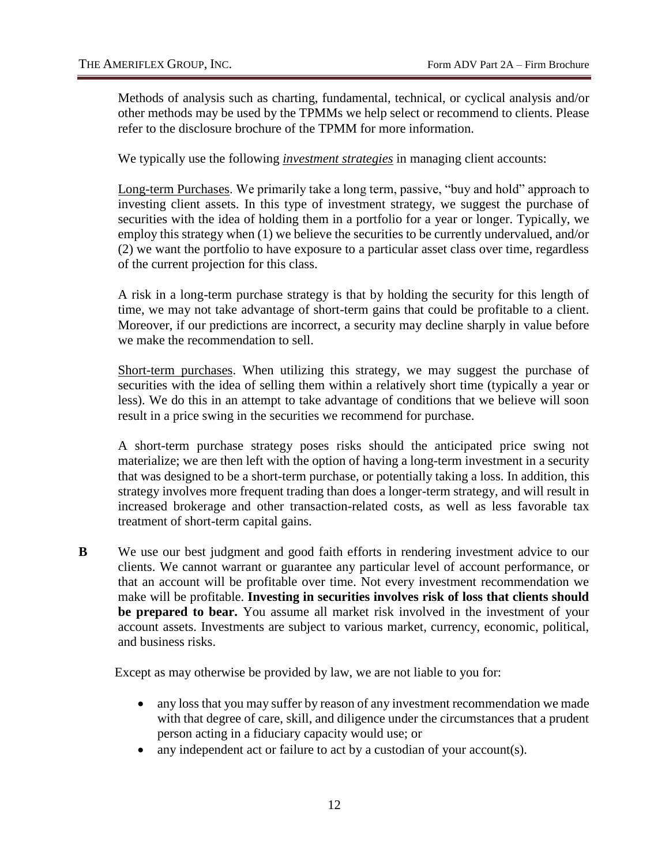Methods of analysis such as charting, fundamental, technical, or cyclical analysis and/or other methods may be used by the TPMMs we help select or recommend to clients. Please refer to the disclosure brochure of the TPMM for more information.

We typically use the following *investment strategies* in managing client accounts:

Long-term Purchases. We primarily take a long term, passive, "buy and hold" approach to investing client assets. In this type of investment strategy, we suggest the purchase of securities with the idea of holding them in a portfolio for a year or longer. Typically, we employ this strategy when (1) we believe the securities to be currently undervalued, and/or (2) we want the portfolio to have exposure to a particular asset class over time, regardless of the current projection for this class.

A risk in a long-term purchase strategy is that by holding the security for this length of time, we may not take advantage of short-term gains that could be profitable to a client. Moreover, if our predictions are incorrect, a security may decline sharply in value before we make the recommendation to sell.

Short-term purchases. When utilizing this strategy, we may suggest the purchase of securities with the idea of selling them within a relatively short time (typically a year or less). We do this in an attempt to take advantage of conditions that we believe will soon result in a price swing in the securities we recommend for purchase.

A short-term purchase strategy poses risks should the anticipated price swing not materialize; we are then left with the option of having a long-term investment in a security that was designed to be a short-term purchase, or potentially taking a loss. In addition, this strategy involves more frequent trading than does a longer-term strategy, and will result in increased brokerage and other transaction-related costs, as well as less favorable tax treatment of short-term capital gains.

**B** We use our best judgment and good faith efforts in rendering investment advice to our clients. We cannot warrant or guarantee any particular level of account performance, or that an account will be profitable over time. Not every investment recommendation we make will be profitable. **Investing in securities involves risk of loss that clients should be prepared to bear.** You assume all market risk involved in the investment of your account assets. Investments are subject to various market, currency, economic, political, and business risks.

Except as may otherwise be provided by law, we are not liable to you for:

- any loss that you may suffer by reason of any investment recommendation we made with that degree of care, skill, and diligence under the circumstances that a prudent person acting in a fiduciary capacity would use; or
- any independent act or failure to act by a custodian of your account(s).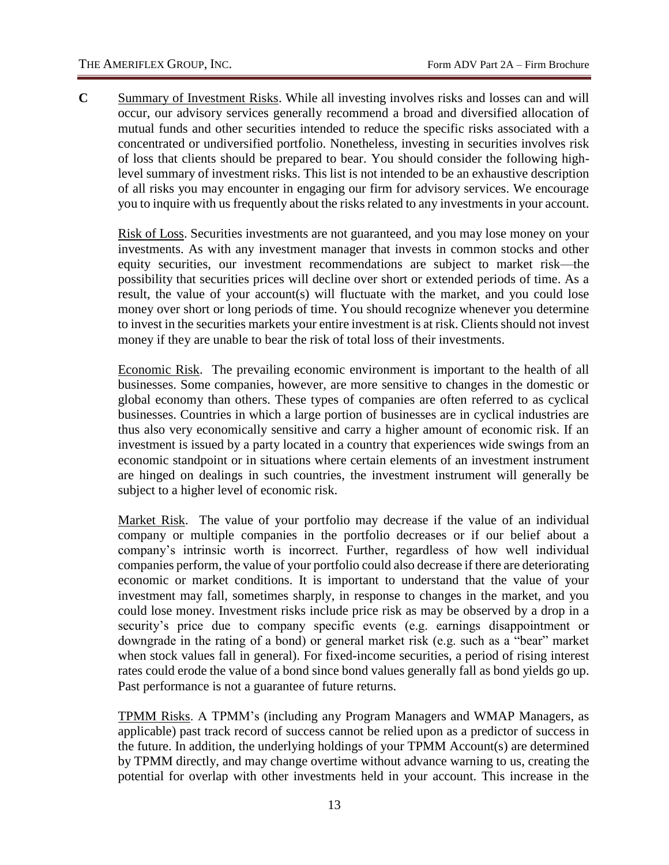**C** Summary of Investment Risks. While all investing involves risks and losses can and will occur, our advisory services generally recommend a broad and diversified allocation of mutual funds and other securities intended to reduce the specific risks associated with a concentrated or undiversified portfolio. Nonetheless, investing in securities involves risk of loss that clients should be prepared to bear. You should consider the following highlevel summary of investment risks. This list is not intended to be an exhaustive description of all risks you may encounter in engaging our firm for advisory services. We encourage you to inquire with us frequently about the risks related to any investments in your account.

Risk of Loss. Securities investments are not guaranteed, and you may lose money on your investments. As with any investment manager that invests in common stocks and other equity securities, our investment recommendations are subject to market risk—the possibility that securities prices will decline over short or extended periods of time. As a result, the value of your account(s) will fluctuate with the market, and you could lose money over short or long periods of time. You should recognize whenever you determine to invest in the securities markets your entire investment is at risk. Clients should not invest money if they are unable to bear the risk of total loss of their investments.

Economic Risk. The prevailing economic environment is important to the health of all businesses. Some companies, however, are more sensitive to changes in the domestic or global economy than others. These types of companies are often referred to as cyclical businesses. Countries in which a large portion of businesses are in cyclical industries are thus also very economically sensitive and carry a higher amount of economic risk. If an investment is issued by a party located in a country that experiences wide swings from an economic standpoint or in situations where certain elements of an investment instrument are hinged on dealings in such countries, the investment instrument will generally be subject to a higher level of economic risk.

Market Risk. The value of your portfolio may decrease if the value of an individual company or multiple companies in the portfolio decreases or if our belief about a company's intrinsic worth is incorrect. Further, regardless of how well individual companies perform, the value of your portfolio could also decrease if there are deteriorating economic or market conditions. It is important to understand that the value of your investment may fall, sometimes sharply, in response to changes in the market, and you could lose money. Investment risks include price risk as may be observed by a drop in a security's price due to company specific events (e.g. earnings disappointment or downgrade in the rating of a bond) or general market risk (e.g. such as a "bear" market when stock values fall in general). For fixed-income securities, a period of rising interest rates could erode the value of a bond since bond values generally fall as bond yields go up. Past performance is not a guarantee of future returns.

TPMM Risks. A TPMM's (including any Program Managers and WMAP Managers, as applicable) past track record of success cannot be relied upon as a predictor of success in the future. In addition, the underlying holdings of your TPMM Account(s) are determined by TPMM directly, and may change overtime without advance warning to us, creating the potential for overlap with other investments held in your account. This increase in the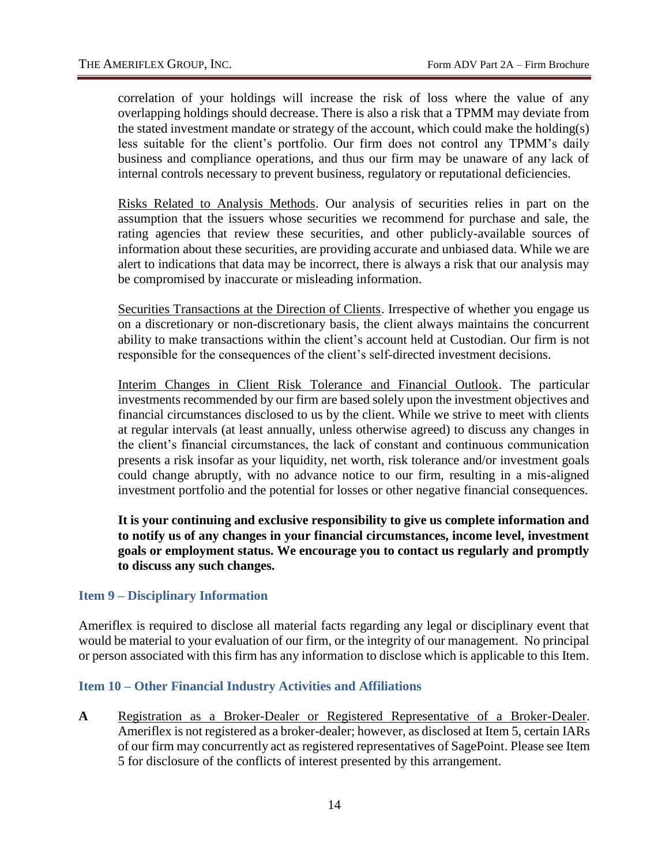correlation of your holdings will increase the risk of loss where the value of any overlapping holdings should decrease. There is also a risk that a TPMM may deviate from the stated investment mandate or strategy of the account, which could make the holding(s) less suitable for the client's portfolio. Our firm does not control any TPMM's daily business and compliance operations, and thus our firm may be unaware of any lack of internal controls necessary to prevent business, regulatory or reputational deficiencies.

Risks Related to Analysis Methods. Our analysis of securities relies in part on the assumption that the issuers whose securities we recommend for purchase and sale, the rating agencies that review these securities, and other publicly-available sources of information about these securities, are providing accurate and unbiased data. While we are alert to indications that data may be incorrect, there is always a risk that our analysis may be compromised by inaccurate or misleading information.

Securities Transactions at the Direction of Clients. Irrespective of whether you engage us on a discretionary or non-discretionary basis, the client always maintains the concurrent ability to make transactions within the client's account held at Custodian. Our firm is not responsible for the consequences of the client's self-directed investment decisions.

Interim Changes in Client Risk Tolerance and Financial Outlook. The particular investments recommended by our firm are based solely upon the investment objectives and financial circumstances disclosed to us by the client. While we strive to meet with clients at regular intervals (at least annually, unless otherwise agreed) to discuss any changes in the client's financial circumstances, the lack of constant and continuous communication presents a risk insofar as your liquidity, net worth, risk tolerance and/or investment goals could change abruptly, with no advance notice to our firm, resulting in a mis-aligned investment portfolio and the potential for losses or other negative financial consequences.

**It is your continuing and exclusive responsibility to give us complete information and to notify us of any changes in your financial circumstances, income level, investment goals or employment status. We encourage you to contact us regularly and promptly to discuss any such changes.** 

#### <span id="page-20-0"></span>**Item 9 – Disciplinary Information**

Ameriflex is required to disclose all material facts regarding any legal or disciplinary event that would be material to your evaluation of our firm, or the integrity of our management. No principal or person associated with this firm has any information to disclose which is applicable to this Item.

#### <span id="page-20-1"></span>**Item 10 – Other Financial Industry Activities and Affiliations**

**A** Registration as a Broker-Dealer or Registered Representative of a Broker-Dealer. Ameriflex is not registered as a broker-dealer; however, as disclosed at Item 5, certain IARs of our firm may concurrently act as registered representatives of SagePoint. Please see Item 5 for disclosure of the conflicts of interest presented by this arrangement.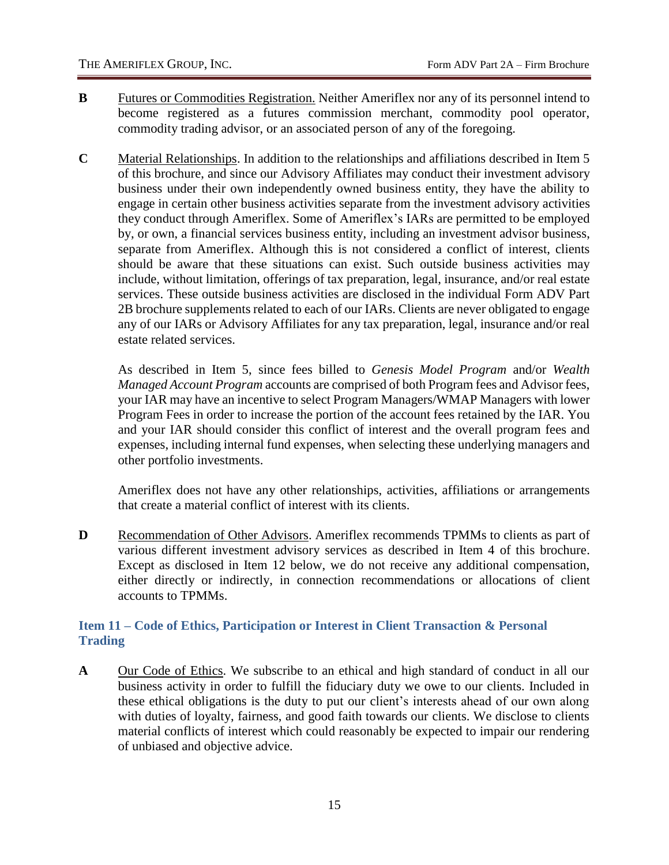- **B** Futures or Commodities Registration. Neither Ameriflex nor any of its personnel intend to become registered as a futures commission merchant, commodity pool operator, commodity trading advisor, or an associated person of any of the foregoing.
- **C** Material Relationships. In addition to the relationships and affiliations described in Item 5 of this brochure, and since our Advisory Affiliates may conduct their investment advisory business under their own independently owned business entity, they have the ability to engage in certain other business activities separate from the investment advisory activities they conduct through Ameriflex. Some of Ameriflex's IARs are permitted to be employed by, or own, a financial services business entity, including an investment advisor business, separate from Ameriflex. Although this is not considered a conflict of interest, clients should be aware that these situations can exist. Such outside business activities may include, without limitation, offerings of tax preparation, legal, insurance, and/or real estate services. These outside business activities are disclosed in the individual Form ADV Part 2B brochure supplements related to each of our IARs. Clients are never obligated to engage any of our IARs or Advisory Affiliates for any tax preparation, legal, insurance and/or real estate related services.

As described in Item 5, since fees billed to *Genesis Model Program* and/or *Wealth Managed Account Program* accounts are comprised of both Program fees and Advisor fees, your IAR may have an incentive to select Program Managers/WMAP Managers with lower Program Fees in order to increase the portion of the account fees retained by the IAR. You and your IAR should consider this conflict of interest and the overall program fees and expenses, including internal fund expenses, when selecting these underlying managers and other portfolio investments.

Ameriflex does not have any other relationships, activities, affiliations or arrangements that create a material conflict of interest with its clients.

**D** Recommendation of Other Advisors. Ameriflex recommends TPMMs to clients as part of various different investment advisory services as described in Item 4 of this brochure. Except as disclosed in Item 12 below, we do not receive any additional compensation, either directly or indirectly, in connection recommendations or allocations of client accounts to TPMMs.

# <span id="page-21-0"></span>**Item 11 – Code of Ethics, Participation or Interest in Client Transaction & Personal Trading**

**A** Our Code of Ethics. We subscribe to an ethical and high standard of conduct in all our business activity in order to fulfill the fiduciary duty we owe to our clients. Included in these ethical obligations is the duty to put our client's interests ahead of our own along with duties of loyalty, fairness, and good faith towards our clients. We disclose to clients material conflicts of interest which could reasonably be expected to impair our rendering of unbiased and objective advice.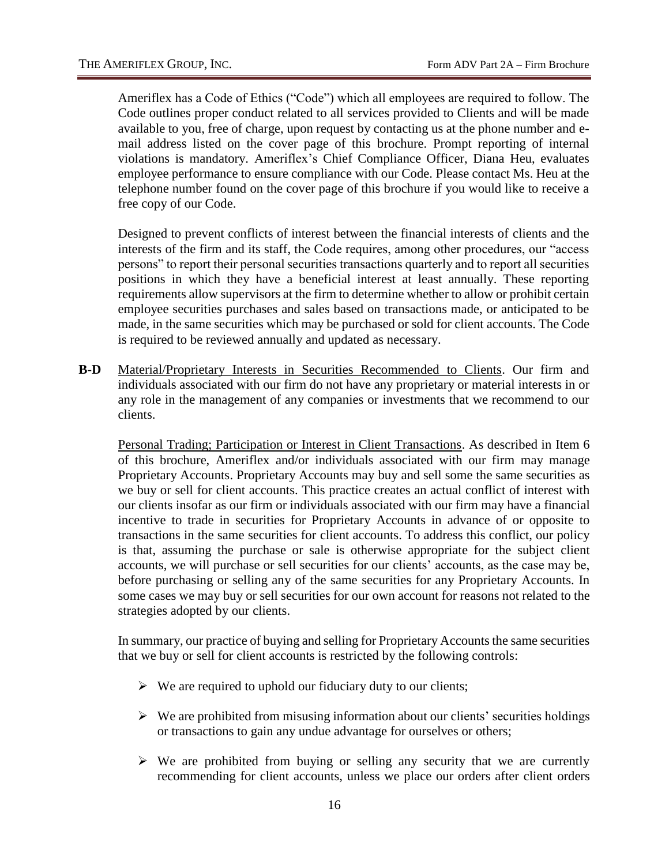Ameriflex has a Code of Ethics ("Code") which all employees are required to follow. The Code outlines proper conduct related to all services provided to Clients and will be made available to you, free of charge, upon request by contacting us at the phone number and email address listed on the cover page of this brochure. Prompt reporting of internal violations is mandatory. Ameriflex's Chief Compliance Officer, Diana Heu, evaluates employee performance to ensure compliance with our Code. Please contact Ms. Heu at the telephone number found on the cover page of this brochure if you would like to receive a free copy of our Code.

Designed to prevent conflicts of interest between the financial interests of clients and the interests of the firm and its staff, the Code requires, among other procedures, our "access persons" to report their personal securities transactions quarterly and to report all securities positions in which they have a beneficial interest at least annually. These reporting requirements allow supervisors at the firm to determine whether to allow or prohibit certain employee securities purchases and sales based on transactions made, or anticipated to be made, in the same securities which may be purchased or sold for client accounts. The Code is required to be reviewed annually and updated as necessary.

**B**-**D** Material/Proprietary Interests in Securities Recommended to Clients. Our firm and individuals associated with our firm do not have any proprietary or material interests in or any role in the management of any companies or investments that we recommend to our clients.

Personal Trading; Participation or Interest in Client Transactions. As described in Item 6 of this brochure, Ameriflex and/or individuals associated with our firm may manage Proprietary Accounts. Proprietary Accounts may buy and sell some the same securities as we buy or sell for client accounts. This practice creates an actual conflict of interest with our clients insofar as our firm or individuals associated with our firm may have a financial incentive to trade in securities for Proprietary Accounts in advance of or opposite to transactions in the same securities for client accounts. To address this conflict, our policy is that, assuming the purchase or sale is otherwise appropriate for the subject client accounts, we will purchase or sell securities for our clients' accounts, as the case may be, before purchasing or selling any of the same securities for any Proprietary Accounts. In some cases we may buy or sell securities for our own account for reasons not related to the strategies adopted by our clients.

In summary, our practice of buying and selling for Proprietary Accounts the same securities that we buy or sell for client accounts is restricted by the following controls:

- $\triangleright$  We are required to uphold our fiduciary duty to our clients;
- $\triangleright$  We are prohibited from misusing information about our clients' securities holdings or transactions to gain any undue advantage for ourselves or others;
- $\triangleright$  We are prohibited from buying or selling any security that we are currently recommending for client accounts, unless we place our orders after client orders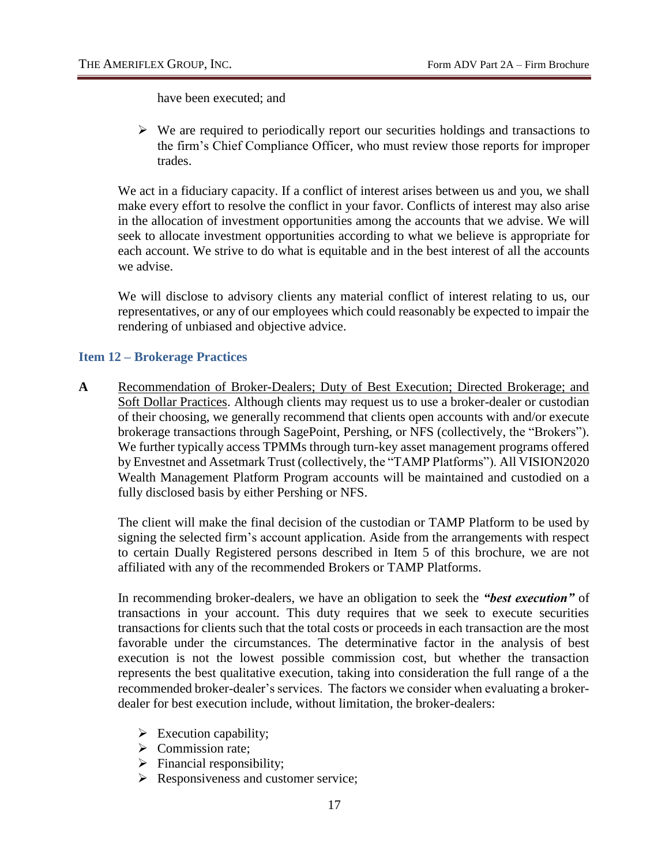have been executed; and

 $\triangleright$  We are required to periodically report our securities holdings and transactions to the firm's Chief Compliance Officer, who must review those reports for improper trades.

We act in a fiduciary capacity. If a conflict of interest arises between us and you, we shall make every effort to resolve the conflict in your favor. Conflicts of interest may also arise in the allocation of investment opportunities among the accounts that we advise. We will seek to allocate investment opportunities according to what we believe is appropriate for each account. We strive to do what is equitable and in the best interest of all the accounts we advise.

We will disclose to advisory clients any material conflict of interest relating to us, our representatives, or any of our employees which could reasonably be expected to impair the rendering of unbiased and objective advice.

#### <span id="page-23-0"></span>**Item 12 – Brokerage Practices**

A Recommendation of Broker-Dealers; Duty of Best Execution; Directed Brokerage; and Soft Dollar Practices. Although clients may request us to use a broker-dealer or custodian of their choosing, we generally recommend that clients open accounts with and/or execute brokerage transactions through SagePoint, Pershing, or NFS (collectively, the "Brokers"). We further typically access TPMMs through turn-key asset management programs offered by Envestnet and Assetmark Trust (collectively, the "TAMP Platforms"). All VISION2020 Wealth Management Platform Program accounts will be maintained and custodied on a fully disclosed basis by either Pershing or NFS.

The client will make the final decision of the custodian or TAMP Platform to be used by signing the selected firm's account application. Aside from the arrangements with respect to certain Dually Registered persons described in Item 5 of this brochure, we are not affiliated with any of the recommended Brokers or TAMP Platforms.

In recommending broker-dealers, we have an obligation to seek the *"best execution"* of transactions in your account. This duty requires that we seek to execute securities transactions for clients such that the total costs or proceeds in each transaction are the most favorable under the circumstances. The determinative factor in the analysis of best execution is not the lowest possible commission cost, but whether the transaction represents the best qualitative execution, taking into consideration the full range of a the recommended broker-dealer's services. The factors we consider when evaluating a brokerdealer for best execution include, without limitation, the broker-dealers:

- $\triangleright$  Execution capability;
- $\triangleright$  Commission rate;
- $\triangleright$  Financial responsibility;
- $\triangleright$  Responsiveness and customer service;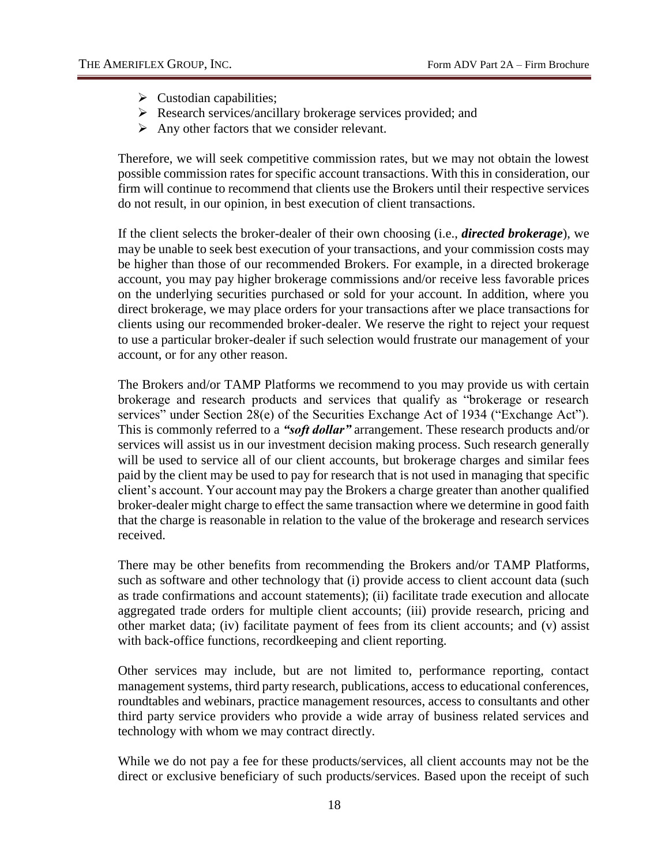- $\triangleright$  Custodian capabilities;
- $\triangleright$  Research services/ancillary brokerage services provided; and
- $\triangleright$  Any other factors that we consider relevant.

Therefore, we will seek competitive commission rates, but we may not obtain the lowest possible commission rates for specific account transactions. With this in consideration, our firm will continue to recommend that clients use the Brokers until their respective services do not result, in our opinion, in best execution of client transactions.

If the client selects the broker-dealer of their own choosing (i.e., *directed brokerage*), we may be unable to seek best execution of your transactions, and your commission costs may be higher than those of our recommended Brokers. For example, in a directed brokerage account, you may pay higher brokerage commissions and/or receive less favorable prices on the underlying securities purchased or sold for your account. In addition, where you direct brokerage, we may place orders for your transactions after we place transactions for clients using our recommended broker-dealer. We reserve the right to reject your request to use a particular broker-dealer if such selection would frustrate our management of your account, or for any other reason.

The Brokers and/or TAMP Platforms we recommend to you may provide us with certain brokerage and research products and services that qualify as "brokerage or research services" under Section 28(e) of the Securities Exchange Act of 1934 ("Exchange Act"). This is commonly referred to a *"soft dollar"* arrangement. These research products and/or services will assist us in our investment decision making process. Such research generally will be used to service all of our client accounts, but brokerage charges and similar fees paid by the client may be used to pay for research that is not used in managing that specific client's account. Your account may pay the Brokers a charge greater than another qualified broker-dealer might charge to effect the same transaction where we determine in good faith that the charge is reasonable in relation to the value of the brokerage and research services received.

There may be other benefits from recommending the Brokers and/or TAMP Platforms, such as software and other technology that (i) provide access to client account data (such as trade confirmations and account statements); (ii) facilitate trade execution and allocate aggregated trade orders for multiple client accounts; (iii) provide research, pricing and other market data; (iv) facilitate payment of fees from its client accounts; and (v) assist with back-office functions, recordkeeping and client reporting.

Other services may include, but are not limited to, performance reporting, contact management systems, third party research, publications, access to educational conferences, roundtables and webinars, practice management resources, access to consultants and other third party service providers who provide a wide array of business related services and technology with whom we may contract directly.

While we do not pay a fee for these products/services, all client accounts may not be the direct or exclusive beneficiary of such products/services. Based upon the receipt of such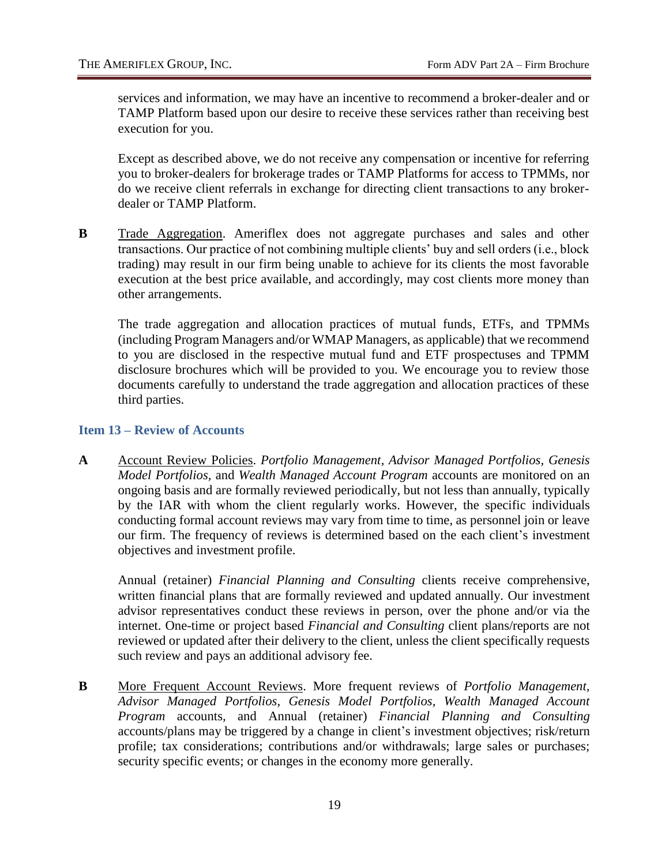services and information, we may have an incentive to recommend a broker-dealer and or TAMP Platform based upon our desire to receive these services rather than receiving best execution for you.

Except as described above, we do not receive any compensation or incentive for referring you to broker-dealers for brokerage trades or TAMP Platforms for access to TPMMs, nor do we receive client referrals in exchange for directing client transactions to any brokerdealer or TAMP Platform.

**B** Trade Aggregation. Ameriflex does not aggregate purchases and sales and other transactions. Our practice of not combining multiple clients' buy and sell orders (i.e., block trading) may result in our firm being unable to achieve for its clients the most favorable execution at the best price available, and accordingly, may cost clients more money than other arrangements.

The trade aggregation and allocation practices of mutual funds, ETFs, and TPMMs (including Program Managers and/or WMAP Managers, as applicable) that we recommend to you are disclosed in the respective mutual fund and ETF prospectuses and TPMM disclosure brochures which will be provided to you. We encourage you to review those documents carefully to understand the trade aggregation and allocation practices of these third parties.

#### <span id="page-25-0"></span>**Item 13 – Review of Accounts**

**A** Account Review Policies. *Portfolio Management, Advisor Managed Portfolios, Genesis Model Portfolios,* and *Wealth Managed Account Program* accounts are monitored on an ongoing basis and are formally reviewed periodically, but not less than annually, typically by the IAR with whom the client regularly works. However, the specific individuals conducting formal account reviews may vary from time to time, as personnel join or leave our firm. The frequency of reviews is determined based on the each client's investment objectives and investment profile.

Annual (retainer) *Financial Planning and Consulting* clients receive comprehensive, written financial plans that are formally reviewed and updated annually. Our investment advisor representatives conduct these reviews in person, over the phone and/or via the internet. One-time or project based *Financial and Consulting* client plans/reports are not reviewed or updated after their delivery to the client, unless the client specifically requests such review and pays an additional advisory fee.

**B** More Frequent Account Reviews. More frequent reviews of *Portfolio Management, Advisor Managed Portfolios, Genesis Model Portfolios, Wealth Managed Account Program* accounts*,* and Annual (retainer) *Financial Planning and Consulting* accounts/plans may be triggered by a change in client's investment objectives; risk/return profile; tax considerations; contributions and/or withdrawals; large sales or purchases; security specific events; or changes in the economy more generally.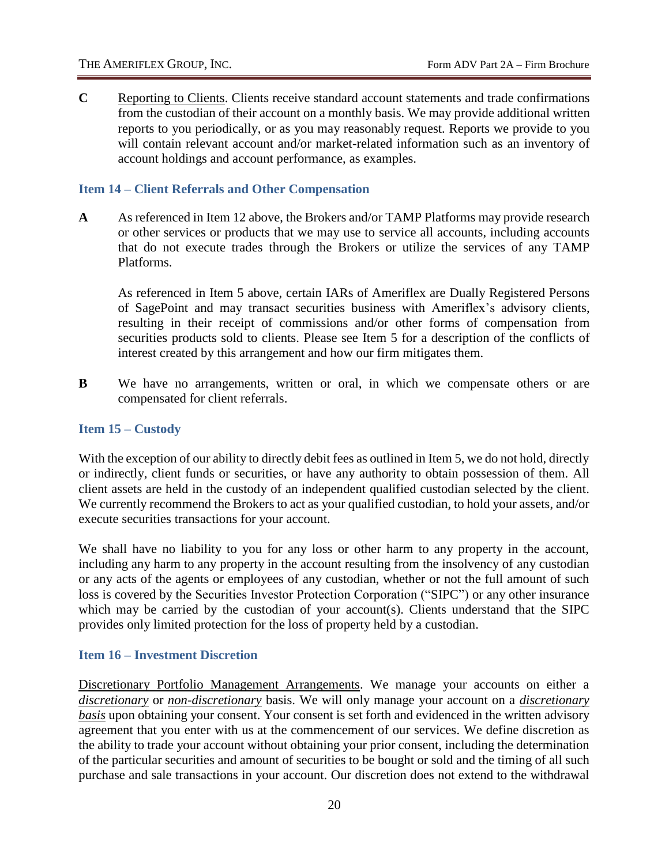**C** Reporting to Clients. Clients receive standard account statements and trade confirmations from the custodian of their account on a monthly basis. We may provide additional written reports to you periodically, or as you may reasonably request. Reports we provide to you will contain relevant account and/or market-related information such as an inventory of account holdings and account performance, as examples.

#### <span id="page-26-0"></span>**Item 14 – Client Referrals and Other Compensation**

**A** As referenced in Item 12 above, the Brokers and/or TAMP Platforms may provide research or other services or products that we may use to service all accounts, including accounts that do not execute trades through the Brokers or utilize the services of any TAMP Platforms.

As referenced in Item 5 above, certain IARs of Ameriflex are Dually Registered Persons of SagePoint and may transact securities business with Ameriflex's advisory clients, resulting in their receipt of commissions and/or other forms of compensation from securities products sold to clients. Please see Item 5 for a description of the conflicts of interest created by this arrangement and how our firm mitigates them.

**B** We have no arrangements, written or oral, in which we compensate others or are compensated for client referrals.

#### <span id="page-26-1"></span>**Item 15 – Custody**

With the exception of our ability to directly debit fees as outlined in Item 5, we do not hold, directly or indirectly, client funds or securities, or have any authority to obtain possession of them. All client assets are held in the custody of an independent qualified custodian selected by the client. We currently recommend the Brokers to act as your qualified custodian, to hold your assets, and/or execute securities transactions for your account.

We shall have no liability to you for any loss or other harm to any property in the account, including any harm to any property in the account resulting from the insolvency of any custodian or any acts of the agents or employees of any custodian, whether or not the full amount of such loss is covered by the Securities Investor Protection Corporation ("SIPC") or any other insurance which may be carried by the custodian of your account(s). Clients understand that the SIPC provides only limited protection for the loss of property held by a custodian.

#### <span id="page-26-2"></span>**Item 16 – Investment Discretion**

Discretionary Portfolio Management Arrangements. We manage your accounts on either a *discretionary* or *non-discretionary* basis. We will only manage your account on a *discretionary basis* upon obtaining your consent. Your consent is set forth and evidenced in the written advisory agreement that you enter with us at the commencement of our services. We define discretion as the ability to trade your account without obtaining your prior consent, including the determination of the particular securities and amount of securities to be bought or sold and the timing of all such purchase and sale transactions in your account. Our discretion does not extend to the withdrawal